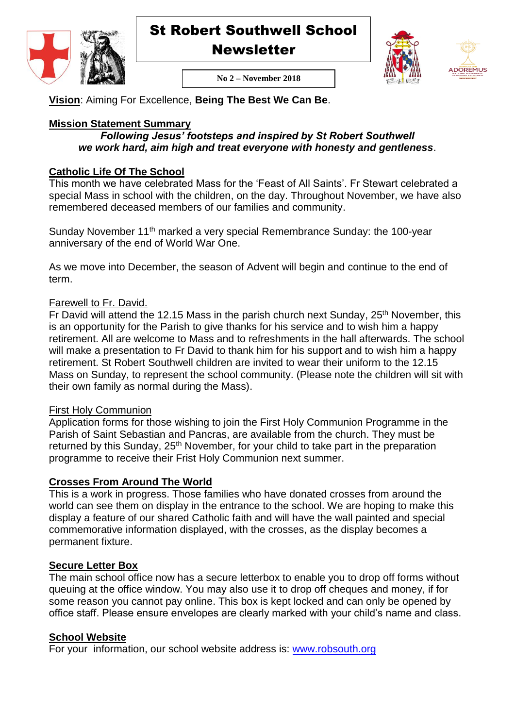

St Robert Southwell School

**Newsletter** 





**No 2 – November 2018**

**Vision**: Aiming For Excellence, **Being The Best We Can Be**.

## **Mission Statement Summary**

#### *Following Jesus' footsteps and inspired by St Robert Southwell we work hard, aim high and treat everyone with honesty and gentleness*.

## **Catholic Life Of The School**

This month we have celebrated Mass for the 'Feast of All Saints'. Fr Stewart celebrated a special Mass in school with the children, on the day. Throughout November, we have also remembered deceased members of our families and community.

Sunday November 11<sup>th</sup> marked a very special Remembrance Sunday: the 100-year anniversary of the end of World War One.

As we move into December, the season of Advent will begin and continue to the end of term.

## Farewell to Fr. David.

 $\overline{F}$ r David will attend the 12.15 Mass in the parish church next Sunday, 25<sup>th</sup> November, this is an opportunity for the Parish to give thanks for his service and to wish him a happy retirement. All are welcome to Mass and to refreshments in the hall afterwards. The school will make a presentation to Fr David to thank him for his support and to wish him a happy retirement. St Robert Southwell children are invited to wear their uniform to the 12.15 Mass on Sunday, to represent the school community. (Please note the children will sit with their own family as normal during the Mass).

#### First Holy Communion

Application forms for those wishing to join the First Holy Communion Programme in the Parish of Saint Sebastian and Pancras, are available from the church. They must be returned by this Sunday, 25<sup>th</sup> November, for your child to take part in the preparation programme to receive their Frist Holy Communion next summer.

## **Crosses From Around The World**

This is a work in progress. Those families who have donated crosses from around the world can see them on display in the entrance to the school. We are hoping to make this display a feature of our shared Catholic faith and will have the wall painted and special commemorative information displayed, with the crosses, as the display becomes a permanent fixture.

## **Secure Letter Box**

The main school office now has a secure letterbox to enable you to drop off forms without queuing at the office window. You may also use it to drop off cheques and money, if for some reason you cannot pay online. This box is kept locked and can only be opened by office staff. Please ensure envelopes are clearly marked with your child's name and class.

## **School Website**

For your information, our school website address is: [www.robsouth.org](http://www.robsouth.org/)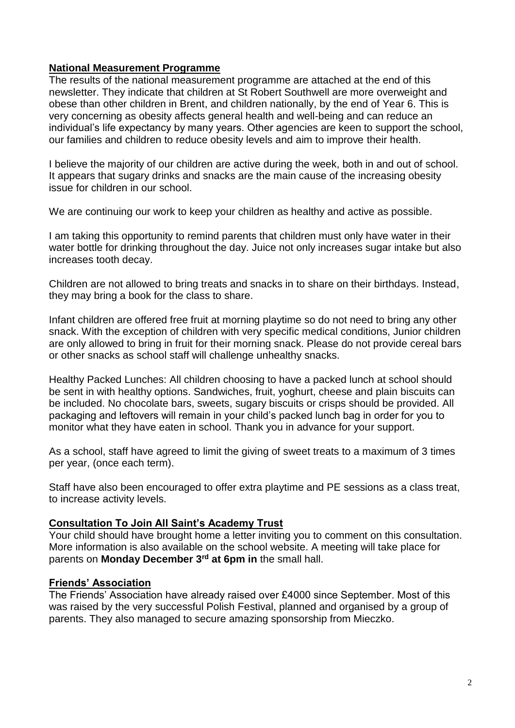#### **National Measurement Programme**

The results of the national measurement programme are attached at the end of this newsletter. They indicate that children at St Robert Southwell are more overweight and obese than other children in Brent, and children nationally, by the end of Year 6. This is very concerning as obesity affects general health and well-being and can reduce an individual's life expectancy by many years. Other agencies are keen to support the school, our families and children to reduce obesity levels and aim to improve their health.

I believe the majority of our children are active during the week, both in and out of school. It appears that sugary drinks and snacks are the main cause of the increasing obesity issue for children in our school.

We are continuing our work to keep your children as healthy and active as possible.

I am taking this opportunity to remind parents that children must only have water in their water bottle for drinking throughout the day. Juice not only increases sugar intake but also increases tooth decay.

Children are not allowed to bring treats and snacks in to share on their birthdays. Instead, they may bring a book for the class to share.

Infant children are offered free fruit at morning playtime so do not need to bring any other snack. With the exception of children with very specific medical conditions, Junior children are only allowed to bring in fruit for their morning snack. Please do not provide cereal bars or other snacks as school staff will challenge unhealthy snacks.

Healthy Packed Lunches: All children choosing to have a packed lunch at school should be sent in with healthy options. Sandwiches, fruit, yoghurt, cheese and plain biscuits can be included. No chocolate bars, sweets, sugary biscuits or crisps should be provided. All packaging and leftovers will remain in your child's packed lunch bag in order for you to monitor what they have eaten in school. Thank you in advance for your support.

As a school, staff have agreed to limit the giving of sweet treats to a maximum of 3 times per year, (once each term).

Staff have also been encouraged to offer extra playtime and PE sessions as a class treat, to increase activity levels.

#### **Consultation To Join All Saint's Academy Trust**

Your child should have brought home a letter inviting you to comment on this consultation. More information is also available on the school website. A meeting will take place for parents on **Monday December 3rd at 6pm in** the small hall.

## **Friends' Association**

The Friends' Association have already raised over £4000 since September. Most of this was raised by the very successful Polish Festival, planned and organised by a group of parents. They also managed to secure amazing sponsorship from Mieczko.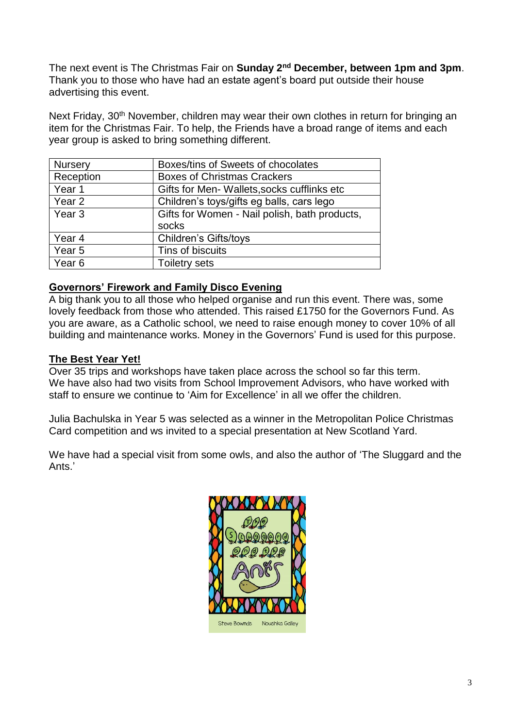The next event is The Christmas Fair on **Sunday 2nd December, between 1pm and 3pm**. Thank you to those who have had an estate agent's board put outside their house advertising this event.

Next Friday, 30<sup>th</sup> November, children may wear their own clothes in return for bringing an item for the Christmas Fair. To help, the Friends have a broad range of items and each year group is asked to bring something different.

| <b>Nursery</b>    | Boxes/tins of Sweets of chocolates            |
|-------------------|-----------------------------------------------|
| Reception         | <b>Boxes of Christmas Crackers</b>            |
| Year 1            | Gifts for Men-Wallets, socks cufflinks etc    |
| Year <sub>2</sub> | Children's toys/gifts eg balls, cars lego     |
| Year <sub>3</sub> | Gifts for Women - Nail polish, bath products, |
|                   | socks                                         |
| Year <sub>4</sub> | <b>Children's Gifts/toys</b>                  |
| Year 5            | Tins of biscuits                              |
| Year <sub>6</sub> | <b>Toiletry sets</b>                          |

## **Governors' Firework and Family Disco Evening**

A big thank you to all those who helped organise and run this event. There was, some lovely feedback from those who attended. This raised £1750 for the Governors Fund. As you are aware, as a Catholic school, we need to raise enough money to cover 10% of all building and maintenance works. Money in the Governors' Fund is used for this purpose.

#### **The Best Year Yet!**

Over 35 trips and workshops have taken place across the school so far this term. We have also had two visits from School Improvement Advisors, who have worked with staff to ensure we continue to 'Aim for Excellence' in all we offer the children.

Julia Bachulska in Year 5 was selected as a winner in the Metropolitan Police Christmas Card competition and ws invited to a special presentation at New Scotland Yard.

We have had a special visit from some owls, and also the author of 'The Sluggard and the Ants.'

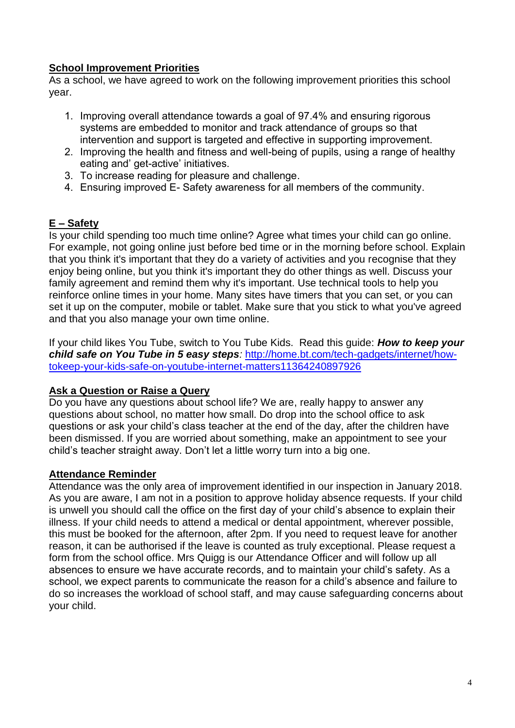## **School Improvement Priorities**

As a school, we have agreed to work on the following improvement priorities this school year.

- 1. Improving overall attendance towards a goal of 97.4% and ensuring rigorous systems are embedded to monitor and track attendance of groups so that intervention and support is targeted and effective in supporting improvement.
- 2. Improving the health and fitness and well-being of pupils, using a range of healthy eating and' get-active' initiatives.
- 3. To increase reading for pleasure and challenge.
- 4. Ensuring improved E- Safety awareness for all members of the community.

# **E – Safety**

Is your child spending too much time online? Agree what times your child can go online. For example, not going online just before bed time or in the morning before school. Explain that you think it's important that they do a variety of activities and you recognise that they enjoy being online, but you think it's important they do other things as well. Discuss your family agreement and remind them why it's important. Use technical tools to help you reinforce online times in your home. Many sites have timers that you can set, or you can set it up on the computer, mobile or tablet. Make sure that you stick to what you've agreed and that you also manage your own time online.

If your child likes You Tube, switch to You Tube Kids. Read this guide: *How to keep your child safe on You Tube in 5 easy steps:* [http://home.bt.com/tech-gadgets/internet/how](http://home.bt.com/tech-gadgets/internet/how-tokeep-your-kids-safe-on-youtube-internet-matters11364240897926)[tokeep-your-kids-safe-on-youtube-internet-matters11364240897926](http://home.bt.com/tech-gadgets/internet/how-tokeep-your-kids-safe-on-youtube-internet-matters11364240897926)

## **Ask a Question or Raise a Query**

Do you have any questions about school life? We are, really happy to answer any questions about school, no matter how small. Do drop into the school office to ask questions or ask your child's class teacher at the end of the day, after the children have been dismissed. If you are worried about something, make an appointment to see your child's teacher straight away. Don't let a little worry turn into a big one.

## **Attendance Reminder**

Attendance was the only area of improvement identified in our inspection in January 2018. As you are aware, I am not in a position to approve holiday absence requests. If your child is unwell you should call the office on the first day of your child's absence to explain their illness. If your child needs to attend a medical or dental appointment, wherever possible, this must be booked for the afternoon, after 2pm. If you need to request leave for another reason, it can be authorised if the leave is counted as truly exceptional. Please request a form from the school office. Mrs Quigg is our Attendance Officer and will follow up all absences to ensure we have accurate records, and to maintain your child's safety. As a school, we expect parents to communicate the reason for a child's absence and failure to do so increases the workload of school staff, and may cause safeguarding concerns about your child.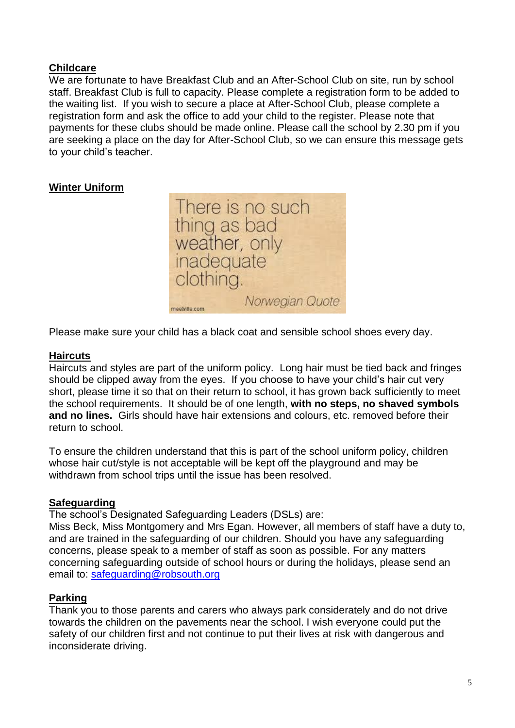## **Childcare**

We are fortunate to have Breakfast Club and an After-School Club on site, run by school staff. Breakfast Club is full to capacity. Please complete a registration form to be added to the waiting list. If you wish to secure a place at After-School Club, please complete a registration form and ask the office to add your child to the register. Please note that payments for these clubs should be made online. Please call the school by 2.30 pm if you are seeking a place on the day for After-School Club, so we can ensure this message gets to your child's teacher.

## **Winter Uniform**



Please make sure your child has a black coat and sensible school shoes every day.

#### **Haircuts**

Haircuts and styles are part of the uniform policy. Long hair must be tied back and fringes should be clipped away from the eyes. If you choose to have your child's hair cut very short, please time it so that on their return to school, it has grown back sufficiently to meet the school requirements. It should be of one length, **with no steps, no shaved symbols and no lines.** Girls should have hair extensions and colours, etc. removed before their return to school.

To ensure the children understand that this is part of the school uniform policy, children whose hair cut/style is not acceptable will be kept off the playground and may be withdrawn from school trips until the issue has been resolved.

#### **Safeguarding**

The school's Designated Safeguarding Leaders (DSLs) are:

Miss Beck, Miss Montgomery and Mrs Egan. However, all members of staff have a duty to, and are trained in the safeguarding of our children. Should you have any safeguarding concerns, please speak to a member of staff as soon as possible. For any matters concerning safeguarding outside of school hours or during the holidays, please send an email to: [safeguarding@robsouth.org](mailto:safeguarding@robsouth.org)

#### **Parking**

Thank you to those parents and carers who always park considerately and do not drive towards the children on the pavements near the school. I wish everyone could put the safety of our children first and not continue to put their lives at risk with dangerous and inconsiderate driving.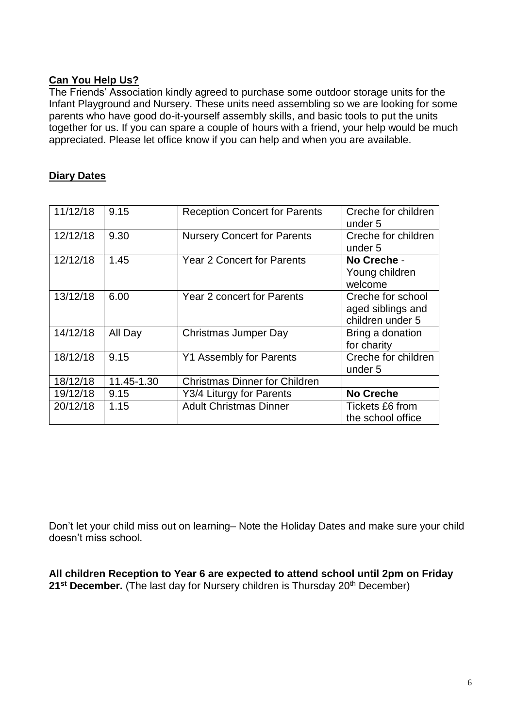#### **Can You Help Us?**

The Friends' Association kindly agreed to purchase some outdoor storage units for the Infant Playground and Nursery. These units need assembling so we are looking for some parents who have good do-it-yourself assembly skills, and basic tools to put the units together for us. If you can spare a couple of hours with a friend, your help would be much appreciated. Please let office know if you can help and when you are available.

#### **Diary Dates**

| 11/12/18 | 9.15       | <b>Reception Concert for Parents</b> | Creche for children<br>under 5 |
|----------|------------|--------------------------------------|--------------------------------|
| 12/12/18 | 9.30       | <b>Nursery Concert for Parents</b>   | Creche for children<br>under 5 |
|          |            |                                      |                                |
| 12/12/18 | 1.45       | <b>Year 2 Concert for Parents</b>    | No Creche -                    |
|          |            |                                      | Young children                 |
|          |            |                                      | welcome                        |
| 13/12/18 | 6.00       | <b>Year 2 concert for Parents</b>    | Creche for school              |
|          |            |                                      | aged siblings and              |
|          |            |                                      | children under 5               |
| 14/12/18 | All Day    | Christmas Jumper Day                 | Bring a donation               |
|          |            |                                      | for charity                    |
| 18/12/18 | 9.15       | <b>Y1 Assembly for Parents</b>       | Creche for children            |
|          |            |                                      | under 5                        |
| 18/12/18 | 11.45-1.30 | <b>Christmas Dinner for Children</b> |                                |
| 19/12/18 | 9.15       | Y3/4 Liturgy for Parents             | <b>No Creche</b>               |
| 20/12/18 | 1.15       | <b>Adult Christmas Dinner</b>        | Tickets £6 from                |
|          |            |                                      | the school office              |

Don't let your child miss out on learning– Note the Holiday Dates and make sure your child doesn't miss school.

**All children Reception to Year 6 are expected to attend school until 2pm on Friday**  21<sup><sup>st</sup> **December.** (The last day for Nursery children is Thursday 20<sup>th</sup> December)</sup>